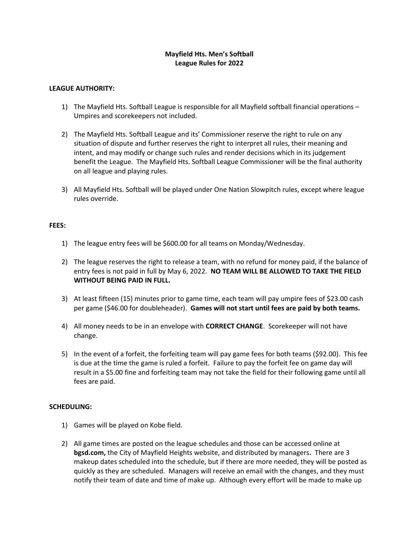# Mayfield Hts. Men's Softball League Rules for 2022

### LEAGUE AUTHORITY:

- 1) The Mayfield Hts. Softball League is responsible for all Mayfield softball financial operations Umpires and scorekeepers not included.
- 2) The Mayfield Hts. Softball League and its' Commissioner reserve the right to rule on any situation of dispute and further reserves the right to interpret all rules, their meaning and intent, and may modify or change such rules and render decisions which in its judgement benefit the League. The Mayfield Hts. Softball League Commissioner will be the final authority on all league and playing rules.
- 3) All Mayfield Hts. Softball will be played under One Nation Slowpitch rules, except where league rules override.

#### FEES:

- 1) The league entry fees will be \$600.00 for all teams on Monday/Wednesday.
- 2) The league reserves the right to release a team, with no refund for money paid, if the balance of entry fees is not paid in full by May 6, 2022. NO TEAM WILL BE ALLOWED TO TAKE THE FIELD WITHOUT BEING PAID IN FULL.
- 3) At least fifteen (15) minutes prior to game time, each team will pay umpire fees of \$23.00 cash per game (\$46.00 for doubleheader). Games will not start until fees are paid by both teams.
- 4) All money needs to be in an envelope with **CORRECT CHANGE**. Scorekeeper will not have change.
- 5) In the event of a forfeit, the forfeiting team will pay game fees for both teams (\$92.00). This fee is due at the time the game is ruled a forfeit. Failure to pay the forfeit fee on game day will result in a \$5.00 fine and forfeiting team may not take the field for their following game until all fees are paid.

#### SCHEDULING:

- 1) Games will be played on Kobe field.
- 2) All game times are posted on the league schedules and those can be accessed online at bgsd.com, the City of Mayfield Heights website, and distributed by managers. There are 3 makeup dates scheduled into the schedule, but if there are more needed, they will be posted as quickly as they are scheduled. Managers will receive an email with the changes, and they must notify their team of date and time of make up. Although every effort will be made to make up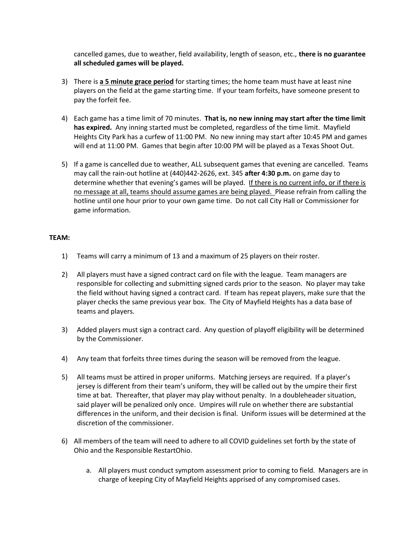cancelled games, due to weather, field availability, length of season, etc., there is no guarantee all scheduled games will be played.

- 3) There is a 5 minute grace period for starting times; the home team must have at least nine players on the field at the game starting time. If your team forfeits, have someone present to pay the forfeit fee.
- 4) Each game has a time limit of 70 minutes. That is, no new inning may start after the time limit has expired. Any inning started must be completed, regardless of the time limit. Mayfield Heights City Park has a curfew of 11:00 PM. No new inning may start after 10:45 PM and games will end at 11:00 PM. Games that begin after 10:00 PM will be played as a Texas Shoot Out.
- 5) If a game is cancelled due to weather, ALL subsequent games that evening are cancelled. Teams may call the rain-out hotline at (440)442-2626, ext. 345 after 4:30 p.m. on game day to determine whether that evening's games will be played. If there is no current info, or if there is no message at all, teams should assume games are being played. Please refrain from calling the hotline until one hour prior to your own game time. Do not call City Hall or Commissioner for game information.

### TEAM:

- 1) Teams will carry a minimum of 13 and a maximum of 25 players on their roster.
- 2) All players must have a signed contract card on file with the league. Team managers are responsible for collecting and submitting signed cards prior to the season. No player may take the field without having signed a contract card. If team has repeat players, make sure that the player checks the same previous year box. The City of Mayfield Heights has a data base of teams and players.
- 3) Added players must sign a contract card. Any question of playoff eligibility will be determined by the Commissioner.
- 4) Any team that forfeits three times during the season will be removed from the league.
- 5) All teams must be attired in proper uniforms. Matching jerseys are required. If a player's jersey is different from their team's uniform, they will be called out by the umpire their first time at bat. Thereafter, that player may play without penalty. In a doubleheader situation, said player will be penalized only once. Umpires will rule on whether there are substantial differences in the uniform, and their decision is final. Uniform issues will be determined at the discretion of the commissioner.
- 6) All members of the team will need to adhere to all COVID guidelines set forth by the state of Ohio and the Responsible RestartOhio.
	- a. All players must conduct symptom assessment prior to coming to field. Managers are in charge of keeping City of Mayfield Heights apprised of any compromised cases.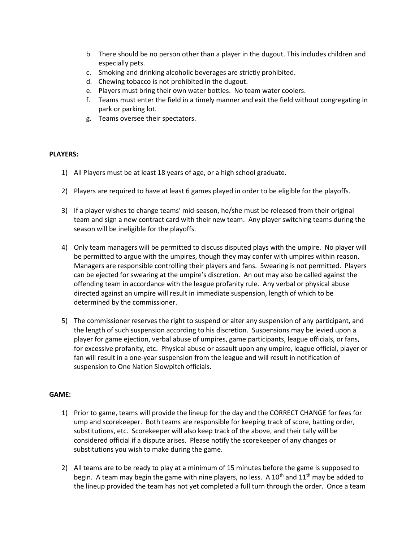- b. There should be no person other than a player in the dugout. This includes children and especially pets.
- c. Smoking and drinking alcoholic beverages are strictly prohibited.
- d. Chewing tobacco is not prohibited in the dugout.
- e. Players must bring their own water bottles. No team water coolers.
- f. Teams must enter the field in a timely manner and exit the field without congregating in park or parking lot.
- g. Teams oversee their spectators.

# PLAYERS:

- 1) All Players must be at least 18 years of age, or a high school graduate.
- 2) Players are required to have at least 6 games played in order to be eligible for the playoffs.
- 3) If a player wishes to change teams' mid-season, he/she must be released from their original team and sign a new contract card with their new team. Any player switching teams during the season will be ineligible for the playoffs.
- 4) Only team managers will be permitted to discuss disputed plays with the umpire. No player will be permitted to argue with the umpires, though they may confer with umpires within reason. Managers are responsible controlling their players and fans. Swearing is not permitted. Players can be ejected for swearing at the umpire's discretion. An out may also be called against the offending team in accordance with the league profanity rule. Any verbal or physical abuse directed against an umpire will result in immediate suspension, length of which to be determined by the commissioner.
- 5) The commissioner reserves the right to suspend or alter any suspension of any participant, and the length of such suspension according to his discretion. Suspensions may be levied upon a player for game ejection, verbal abuse of umpires, game participants, league officials, or fans, for excessive profanity, etc. Physical abuse or assault upon any umpire, league official, player or fan will result in a one-year suspension from the league and will result in notification of suspension to One Nation Slowpitch officials.

# GAME:

- 1) Prior to game, teams will provide the lineup for the day and the CORRECT CHANGE for fees for ump and scorekeeper. Both teams are responsible for keeping track of score, batting order, substitutions, etc. Scorekeeper will also keep track of the above, and their tally will be considered official if a dispute arises. Please notify the scorekeeper of any changes or substitutions you wish to make during the game.
- 2) All teams are to be ready to play at a minimum of 15 minutes before the game is supposed to begin. A team may begin the game with nine players, no less. A 10<sup>th</sup> and 11<sup>th</sup> may be added to the lineup provided the team has not yet completed a full turn through the order. Once a team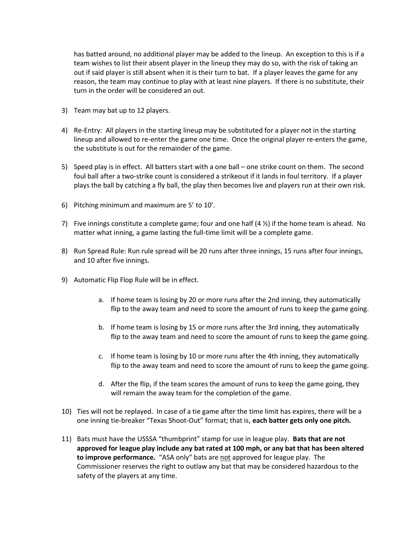has batted around, no additional player may be added to the lineup. An exception to this is if a team wishes to list their absent player in the lineup they may do so, with the risk of taking an out if said player is still absent when it is their turn to bat. If a player leaves the game for any reason, the team may continue to play with at least nine players. If there is no substitute, their turn in the order will be considered an out.

- 3) Team may bat up to 12 players.
- 4) Re-Entry: All players in the starting lineup may be substituted for a player not in the starting lineup and allowed to re-enter the game one time. Once the original player re-enters the game, the substitute is out for the remainder of the game.
- 5) Speed play is in effect. All batters start with a one ball one strike count on them. The second foul ball after a two-strike count is considered a strikeout if it lands in foul territory. If a player plays the ball by catching a fly ball, the play then becomes live and players run at their own risk.
- 6) Pitching minimum and maximum are 5' to 10'.
- 7) Five innings constitute a complete game; four and one half  $(4 \frac{1}{2})$  if the home team is ahead. No matter what inning, a game lasting the full-time limit will be a complete game.
- 8) Run Spread Rule: Run rule spread will be 20 runs after three innings, 15 runs after four innings, and 10 after five innings.
- 9) Automatic Flip Flop Rule will be in effect.
	- a. If home team is losing by 20 or more runs after the 2nd inning, they automatically flip to the away team and need to score the amount of runs to keep the game going.
	- b. If home team is losing by 15 or more runs after the 3rd inning, they automatically flip to the away team and need to score the amount of runs to keep the game going.
	- c. If home team is losing by 10 or more runs after the 4th inning, they automatically flip to the away team and need to score the amount of runs to keep the game going.
	- d. After the flip, if the team scores the amount of runs to keep the game going, they will remain the away team for the completion of the game.
- 10) Ties will not be replayed. In case of a tie game after the time limit has expires, there will be a one inning tie-breaker "Texas Shoot-Out" format; that is, each batter gets only one pitch.
- 11) Bats must have the USSSA "thumbprint" stamp for use in league play. Bats that are not approved for league play include any bat rated at 100 mph, or any bat that has been altered to improve performance. "ASA only" bats are not approved for league play. The Commissioner reserves the right to outlaw any bat that may be considered hazardous to the safety of the players at any time.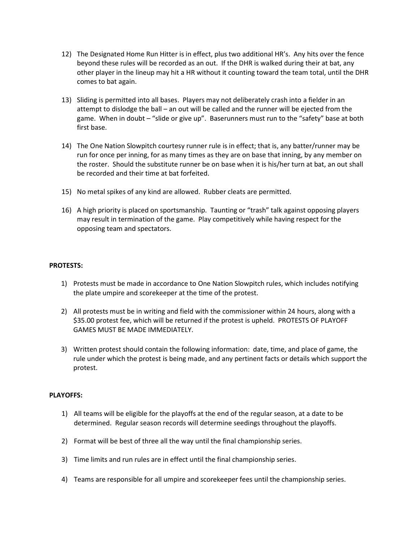- 12) The Designated Home Run Hitter is in effect, plus two additional HR's. Any hits over the fence beyond these rules will be recorded as an out. If the DHR is walked during their at bat, any other player in the lineup may hit a HR without it counting toward the team total, until the DHR comes to bat again.
- 13) Sliding is permitted into all bases. Players may not deliberately crash into a fielder in an attempt to dislodge the ball – an out will be called and the runner will be ejected from the game. When in doubt – "slide or give up". Baserunners must run to the "safety" base at both first base.
- 14) The One Nation Slowpitch courtesy runner rule is in effect; that is, any batter/runner may be run for once per inning, for as many times as they are on base that inning, by any member on the roster. Should the substitute runner be on base when it is his/her turn at bat, an out shall be recorded and their time at bat forfeited.
- 15) No metal spikes of any kind are allowed. Rubber cleats are permitted.
- 16) A high priority is placed on sportsmanship. Taunting or "trash" talk against opposing players may result in termination of the game. Play competitively while having respect for the opposing team and spectators.

### PROTESTS:

- 1) Protests must be made in accordance to One Nation Slowpitch rules, which includes notifying the plate umpire and scorekeeper at the time of the protest.
- 2) All protests must be in writing and field with the commissioner within 24 hours, along with a \$35.00 protest fee, which will be returned if the protest is upheld. PROTESTS OF PLAYOFF GAMES MUST BE MADE IMMEDIATELY.
- 3) Written protest should contain the following information: date, time, and place of game, the rule under which the protest is being made, and any pertinent facts or details which support the protest.

# PLAYOFFS:

- 1) All teams will be eligible for the playoffs at the end of the regular season, at a date to be determined. Regular season records will determine seedings throughout the playoffs.
- 2) Format will be best of three all the way until the final championship series.
- 3) Time limits and run rules are in effect until the final championship series.
- 4) Teams are responsible for all umpire and scorekeeper fees until the championship series.